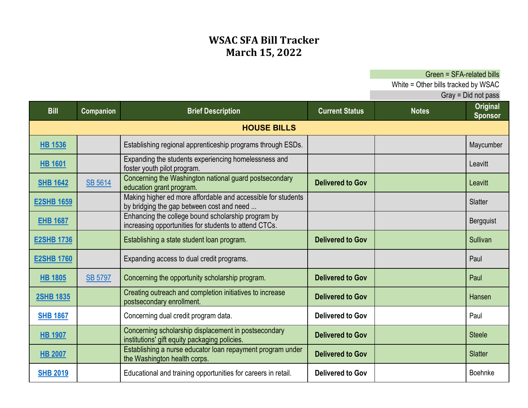## **WSAC SFA Bill Tracker March 15, 2022**

Green = SFA-related bills

White = Other bills tracked by WSAC

| <b>Bill</b>        | <b>Companion</b> | <b>Brief Description</b>                                                                                    | <b>Current Status</b>   | <b>Notes</b> | <b>Original</b><br><b>Sponsor</b> |  |  |  |
|--------------------|------------------|-------------------------------------------------------------------------------------------------------------|-------------------------|--------------|-----------------------------------|--|--|--|
| <b>HOUSE BILLS</b> |                  |                                                                                                             |                         |              |                                   |  |  |  |
| <b>HB 1536</b>     |                  | Establishing regional apprenticeship programs through ESDs.                                                 |                         |              | Maycumber                         |  |  |  |
| <b>HB 1601</b>     |                  | Expanding the students experiencing homelessness and<br>foster youth pilot program.                         |                         |              | Leavitt                           |  |  |  |
| <b>SHB 1642</b>    | <b>SB 5614</b>   | Concerning the Washington national guard postsecondary<br>education grant program.                          | <b>Delivered to Gov</b> |              | Leavitt                           |  |  |  |
| <b>E2SHB 1659</b>  |                  | Making higher ed more affordable and accessible for students<br>by bridging the gap between cost and need   |                         |              | Slatter                           |  |  |  |
| <b>EHB 1687</b>    |                  | Enhancing the college bound scholarship program by<br>increasing opportunities for students to attend CTCs. |                         |              | Bergquist                         |  |  |  |
| <b>E2SHB 1736</b>  |                  | Establishing a state student loan program.                                                                  | <b>Delivered to Gov</b> |              | Sullivan                          |  |  |  |
| <b>E2SHB 1760</b>  |                  | Expanding access to dual credit programs.                                                                   |                         |              | Paul                              |  |  |  |
| <b>HB 1805</b>     | <b>SB 5797</b>   | Concerning the opportunity scholarship program.                                                             | <b>Delivered to Gov</b> |              | Paul                              |  |  |  |
| <b>2SHB 1835</b>   |                  | Creating outreach and completion initiatives to increase<br>postsecondary enrollment.                       | <b>Delivered to Gov</b> |              | Hansen                            |  |  |  |
| <b>SHB 1867</b>    |                  | Concerning dual credit program data.                                                                        | <b>Delivered to Gov</b> |              | Paul                              |  |  |  |
| <b>HB 1907</b>     |                  | Concerning scholarship displacement in postsecondary<br>institutions' gift equity packaging policies.       | <b>Delivered to Gov</b> |              | <b>Steele</b>                     |  |  |  |
| <b>HB 2007</b>     |                  | Establishing a nurse educator loan repayment program under<br>the Washington health corps.                  | <b>Delivered to Gov</b> |              | <b>Slatter</b>                    |  |  |  |
| <b>SHB 2019</b>    |                  | Educational and training opportunities for careers in retail.                                               | Delivered to Gov        |              | <b>Boehnke</b>                    |  |  |  |

Gray = Did not pass